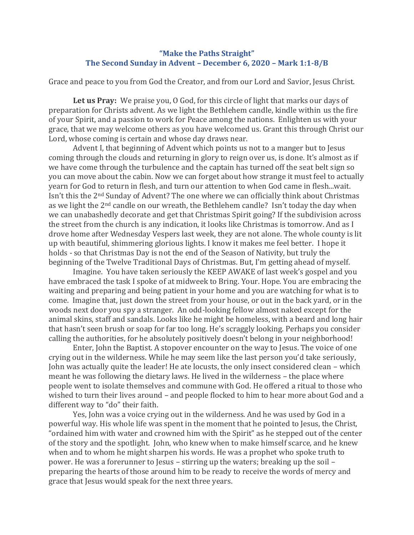## **"Make the Paths Straight" The Second Sunday in Advent – December 6, 2020 – Mark 1:1-8/B**

Grace and peace to you from God the Creator, and from our Lord and Savior, Jesus Christ.

**Let us Pray:** We praise you, O God, for this circle of light that marks our days of preparation for Christs advent. As we light the Bethlehem candle, kindle within us the fire of your Spirit, and a passion to work for Peace among the nations. Enlighten us with your grace, that we may welcome others as you have welcomed us. Grant this through Christ our Lord, whose coming is certain and whose day draws near.

Advent I, that beginning of Advent which points us not to a manger but to Jesus coming through the clouds and returning in glory to reign over us, is done. It's almost as if we have come through the turbulence and the captain has turned off the seat belt sign so you can move about the cabin. Now we can forget about how strange it must feel to actually yearn for God to return in flesh, and turn our attention to when God came in flesh...wait. Isn't this the 2nd Sunday of Advent? The one where we can officially think about Christmas as we light the 2nd candle on our wreath, the Bethlehem candle? Isn't today the day when we can unabashedly decorate and get that Christmas Spirit going? If the subdivision across the street from the church is any indication, it looks like Christmas is tomorrow. And as I drove home after Wednesday Vespers last week, they are not alone. The whole county is lit up with beautiful, shimmering glorious lights. I know it makes me feel better. I hope it holds - so that Christmas Day is not the end of the Season of Nativity, but truly the beginning of the Twelve Traditional Days of Christmas. But, I'm getting ahead of myself.

Imagine. You have taken seriously the KEEP AWAKE of last week's gospel and you have embraced the task I spoke of at midweek to Bring. Your. Hope. You are embracing the waiting and preparing and being patient in your home and you are watching for what is to come. Imagine that, just down the street from your house, or out in the back yard, or in the woods next door you spy a stranger. An odd-looking fellow almost naked except for the animal skins, staff and sandals. Looks like he might be homeless, with a beard and long hair that hasn't seen brush or soap for far too long. He's scraggly looking. Perhaps you consider calling the authorities, for he absolutely positively doesn't belong in your neighborhood!

Enter, John the Baptist. A stopover encounter on the way to Jesus. The voice of one crying out in the wilderness. While he may seem like the last person you'd take seriously, John was actually quite the leader! He ate locusts, the only insect considered clean – which meant he was following the dietary laws. He lived in the wilderness – the place where people went to isolate themselves and commune with God. He offered a ritual to those who wished to turn their lives around – and people flocked to him to hear more about God and a different way to "do" their faith.

Yes, John was a voice crying out in the wilderness. And he was used by God in a powerful way. His whole life was spent in the moment that he pointed to Jesus, the Christ, "ordained him with water and crowned him with the Spirit" as he stepped out of the center of the story and the spotlight. John, who knew when to make himself scarce, and he knew when and to whom he might sharpen his words. He was a prophet who spoke truth to power. He was a forerunner to Jesus – stirring up the waters; breaking up the soil – preparing the hearts of those around him to be ready to receive the words of mercy and grace that Jesus would speak for the next three years.